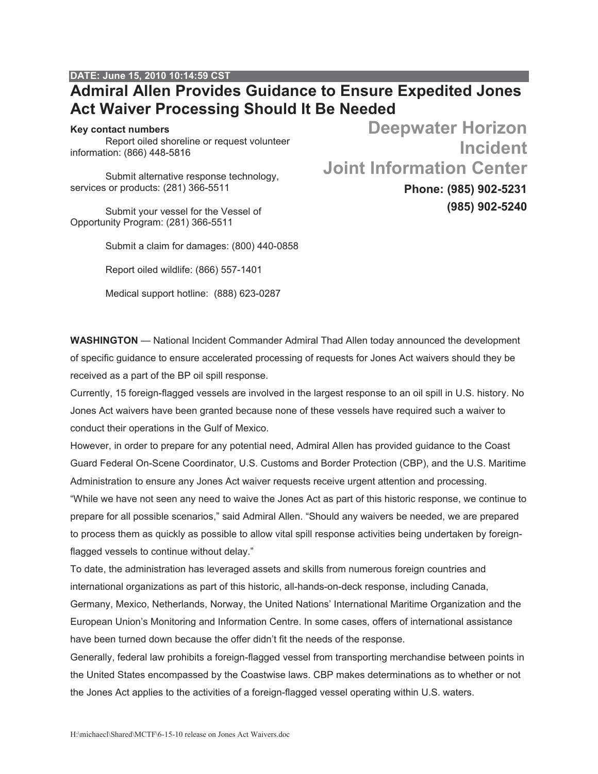## **DATE: June 15, 2010 10:14:59 CST**

## **Admiral Allen Provides Guidance to Ensure Expedited Jones Act Waiver Processing Should It Be Needed**

## **Key contact numbers**

Report oiled shoreline or request volunteer information: (866) 448-5816

Submit alternative response technology, services or products: (281) 366-5511

Submit your vessel for the Vessel of Opportunity Program: (281) 366-5511

Submit a claim for damages: (800) 440-0858

Report oiled wildlife: (866) 557-1401

Medical support hotline: (888) 623-0287

**Deepwater Horizon Incident Joint Information Center Phone: (985) 902-5231**

**(985) 902-5240**

**WASHINGTON** — National Incident Commander Admiral Thad Allen today announced the development of specific guidance to ensure accelerated processing of requests for Jones Act waivers should they be received as a part of the BP oil spill response.

Currently, 15 foreign-flagged vessels are involved in the largest response to an oil spill in U.S. history. No Jones Act waivers have been granted because none of these vessels have required such a waiver to conduct their operations in the Gulf of Mexico.

However, in order to prepare for any potential need, Admiral Allen has provided guidance to the Coast Guard Federal On-Scene Coordinator, U.S. Customs and Border Protection (CBP), and the U.S. Maritime Administration to ensure any Jones Act waiver requests receive urgent attention and processing. "While we have not seen any need to waive the Jones Act as part of this historic response, we continue to prepare for all possible scenarios," said Admiral Allen. "Should any waivers be needed, we are prepared to process them as quickly as possible to allow vital spill response activities being undertaken by foreignflagged vessels to continue without delay."

To date, the administration has leveraged assets and skills from numerous foreign countries and international organizations as part of this historic, all-hands-on-deck response, including Canada,

Germany, Mexico, Netherlands, Norway, the United Nations' International Maritime Organization and the European Union's Monitoring and Information Centre. In some cases, offers of international assistance have been turned down because the offer didn't fit the needs of the response.

Generally, federal law prohibits a foreign-flagged vessel from transporting merchandise between points in the United States encompassed by the Coastwise laws. CBP makes determinations as to whether or not the Jones Act applies to the activities of a foreign-flagged vessel operating within U.S. waters.